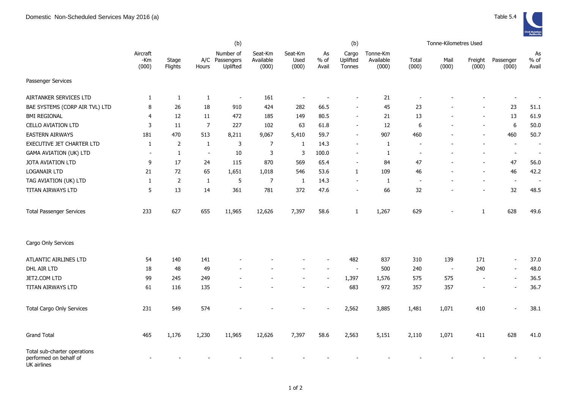|                                                                       | (b)                      |                  |                          |                                         |                               |                          |                     | (b)                         |                                | Tonne-Kilometres Used |                          |                          |                          |                          |
|-----------------------------------------------------------------------|--------------------------|------------------|--------------------------|-----------------------------------------|-------------------------------|--------------------------|---------------------|-----------------------------|--------------------------------|-----------------------|--------------------------|--------------------------|--------------------------|--------------------------|
|                                                                       | Aircraft<br>-Km<br>(000) | Stage<br>Flights | Hours                    | Number of<br>A/C Passengers<br>Uplifted | Seat-Km<br>Available<br>(000) | Seat-Km<br>Used<br>(000) | As<br>% of<br>Avail | Cargo<br>Uplifted<br>Tonnes | Tonne-Km<br>Available<br>(000) | Total<br>(000)        | Mail<br>(000)            | Freight<br>(000)         | Passenger<br>(000)       | As<br>$%$ of<br>Avail    |
| Passenger Services                                                    |                          |                  |                          |                                         |                               |                          |                     |                             |                                |                       |                          |                          |                          |                          |
| AIRTANKER SERVICES LTD                                                | 1                        | $\mathbf{1}$     | $\mathbf{1}$             | $\overline{\phantom{a}}$                | 161                           |                          |                     |                             | 21                             |                       |                          |                          | $\overline{\phantom{a}}$ |                          |
| BAE SYSTEMS (CORP AIR TVL) LTD                                        | 8                        | 26               | 18                       | 910                                     | 424                           | 282                      | 66.5                | $\overline{\phantom{a}}$    | 45                             | 23                    |                          |                          | 23                       | 51.1                     |
| <b>BMI REGIONAL</b>                                                   | 4                        | 12               | 11                       | 472                                     | 185                           | 149                      | 80.5                | $\overline{\phantom{a}}$    | 21                             | 13                    |                          | $\blacksquare$           | 13                       | 61.9                     |
| <b>CELLO AVIATION LTD</b>                                             | 3                        | 11               | $\overline{7}$           | 227                                     | 102                           | 63                       | 61.8                | $\blacksquare$              | 12                             | 6                     |                          | $\blacksquare$           | 6                        | 50.0                     |
| <b>EASTERN AIRWAYS</b>                                                | 181                      | 470              | 513                      | 8,211                                   | 9,067                         | 5,410                    | 59.7                | $\overline{\phantom{a}}$    | 907                            | 460                   |                          | $\overline{\phantom{a}}$ | 460                      | 50.7                     |
| <b>EXECUTIVE JET CHARTER LTD</b>                                      | $\mathbf{1}$             | 2                | $\mathbf{1}$             | 3                                       | $\overline{7}$                | 1                        | 14.3                | $\overline{\phantom{a}}$    | 1                              |                       |                          |                          | $\overline{\phantom{a}}$ | $\overline{\phantom{a}}$ |
| <b>GAMA AVIATION (UK) LTD</b>                                         | $\sim$                   | $\mathbf{1}$     | $\overline{\phantom{a}}$ | $10\,$                                  | $\mathsf 3$                   | 3                        | 100.0               | $\sim$                      | $\mathbf{1}$                   | $\sim$                |                          |                          | $\blacksquare$           | $\overline{\phantom{a}}$ |
| JOTA AVIATION LTD                                                     | 9                        | 17               | 24                       | 115                                     | 870                           | 569                      | 65.4                | $\blacksquare$              | 84                             | 47                    |                          | $\overline{\phantom{0}}$ | 47                       | 56.0                     |
| LOGANAIR LTD                                                          | 21                       | 72               | 65                       | 1,651                                   | 1,018                         | 546                      | 53.6                | $\mathbf{1}$                | 109                            | 46                    |                          | $\overline{a}$           | 46                       | 42.2                     |
| TAG AVIATION (UK) LTD                                                 | $\mathbf{1}$             | $\overline{2}$   | $\mathbf{1}$             | 5                                       | $\overline{7}$                | $\mathbf{1}$             | 14.3                |                             | $\mathbf{1}$                   |                       |                          |                          | $\sim$                   |                          |
| TITAN AIRWAYS LTD                                                     | 5                        | 13               | 14                       | 361                                     | 781                           | 372                      | 47.6                | $\overline{\phantom{a}}$    | 66                             | 32                    |                          | $\overline{\phantom{0}}$ | 32                       | 48.5                     |
| <b>Total Passenger Services</b>                                       | 233                      | 627              | 655                      | 11,965                                  | 12,626                        | 7,397                    | 58.6                | 1                           | 1,267                          | 629                   |                          | $\mathbf{1}$             | 628                      | 49.6                     |
| Cargo Only Services                                                   |                          |                  |                          |                                         |                               |                          |                     |                             |                                |                       |                          |                          |                          |                          |
| ATLANTIC AIRLINES LTD                                                 | 54                       | 140              | 141                      |                                         |                               |                          |                     | 482                         | 837                            | 310                   | 139                      | 171                      | $\overline{a}$           | 37.0                     |
| DHL AIR LTD                                                           | 18                       | 48               | 49                       |                                         |                               |                          |                     |                             | 500                            | 240                   | $\overline{\phantom{a}}$ | 240                      | $\overline{\phantom{a}}$ | 48.0                     |
| JET2.COM LTD                                                          | 99                       | 245              | 249                      |                                         |                               |                          |                     | 1,397                       | 1,576                          | 575                   | 575                      | $\overline{\phantom{a}}$ | $\overline{\phantom{a}}$ | 36.5                     |
| TITAN AIRWAYS LTD                                                     | 61                       | 116              | 135                      |                                         |                               |                          |                     | 683                         | 972                            | 357                   | 357                      | $\overline{\phantom{0}}$ | $\overline{\phantom{a}}$ | 36.7                     |
| <b>Total Cargo Only Services</b>                                      | 231                      | 549              | 574                      |                                         |                               |                          |                     | 2,562                       | 3,885                          | 1,481                 | 1,071                    | 410                      | $\overline{a}$           | 38.1                     |
| <b>Grand Total</b>                                                    | 465                      | 1,176            | 1,230                    | 11,965                                  | 12,626                        | 7,397                    | 58.6                | 2,563                       | 5,151                          | 2,110                 | 1,071                    | 411                      | 628                      | 41.0                     |
| Total sub-charter operations<br>performed on behalf of<br>UK airlines |                          |                  |                          |                                         |                               |                          |                     |                             |                                |                       |                          |                          |                          |                          |